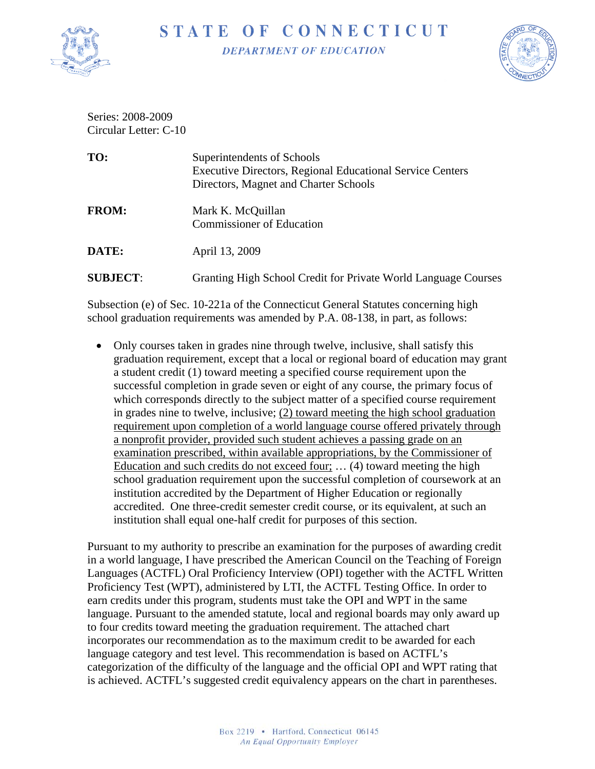

## STATE OF CONNECTICUT

**DEPARTMENT OF EDUCATION** 



Series: 2008-2009 Circular Letter: C-10

| TO:             | Superintendents of Schools<br><b>Executive Directors, Regional Educational Service Centers</b><br>Directors, Magnet and Charter Schools |
|-----------------|-----------------------------------------------------------------------------------------------------------------------------------------|
| <b>FROM:</b>    | Mark K. McQuillan<br><b>Commissioner of Education</b>                                                                                   |
| DATE:           | April 13, 2009                                                                                                                          |
| <b>SUBJECT:</b> | Granting High School Credit for Private World Language Courses                                                                          |
|                 |                                                                                                                                         |

Subsection (e) of Sec. 10-221a of the Connecticut General Statutes concerning high school graduation requirements was amended by P.A. 08-138, in part, as follows:

• Only courses taken in grades nine through twelve, inclusive, shall satisfy this graduation requirement, except that a local or regional board of education may grant a student credit (1) toward meeting a specified course requirement upon the successful completion in grade seven or eight of any course, the primary focus of which corresponds directly to the subject matter of a specified course requirement in grades nine to twelve, inclusive; (2) toward meeting the high school graduation requirement upon completion of a world language course offered privately through a nonprofit provider, provided such student achieves a passing grade on an examination prescribed, within available appropriations, by the Commissioner of Education and such credits do not exceed four; … (4) toward meeting the high school graduation requirement upon the successful completion of coursework at an institution accredited by the Department of Higher Education or regionally accredited. One three-credit semester credit course, or its equivalent, at such an institution shall equal one-half credit for purposes of this section.

Pursuant to my authority to prescribe an examination for the purposes of awarding credit in a world language, I have prescribed the American Council on the Teaching of Foreign Languages (ACTFL) Oral Proficiency Interview (OPI) together with the ACTFL Written Proficiency Test (WPT), administered by LTI, the ACTFL Testing Office. In order to earn credits under this program, students must take the OPI and WPT in the same language. Pursuant to the amended statute, local and regional boards may only award up to four credits toward meeting the graduation requirement. The attached chart incorporates our recommendation as to the maximum credit to be awarded for each language category and test level. This recommendation is based on ACTFL's categorization of the difficulty of the language and the official OPI and WPT rating that is achieved. ACTFL's suggested credit equivalency appears on the chart in parentheses.